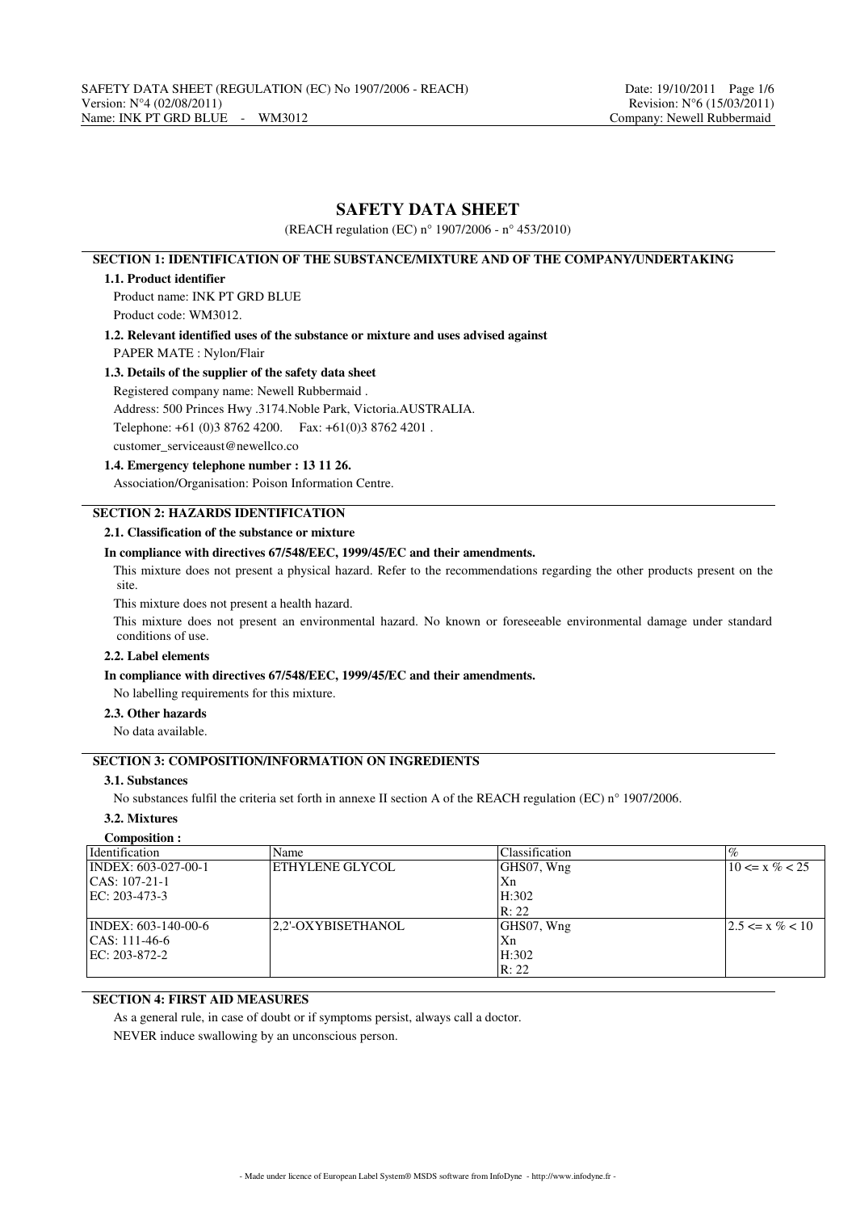# **SAFETY DATA SHEET**

(REACH regulation (EC) n° 1907/2006 - n° 453/2010)

# **SECTION 1: IDENTIFICATION OF THE SUBSTANCE/MIXTURE AND OF THE COMPANY/UNDERTAKING**

#### **1.1. Product identifier**

Product name: INK PT GRD BLUE

Product code: WM3012.

**1.2. Relevant identified uses of the substance or mixture and uses advised against**

PAPER MATE : Nylon/Flair

## **1.3. Details of the supplier of the safety data sheet**

Registered company name: Newell Rubbermaid .

Address: 500 Princes Hwy .3174.Noble Park, Victoria.AUSTRALIA.

Telephone: +61 (0)3 8762 4200. Fax: +61(0)3 8762 4201 .

customer\_serviceaust@newellco.co

### **1.4. Emergency telephone number : 13 11 26.**

Association/Organisation: Poison Information Centre.

# **SECTION 2: HAZARDS IDENTIFICATION**

## **2.1. Classification of the substance or mixture**

### **In compliance with directives 67/548/EEC, 1999/45/EC and their amendments.**

This mixture does not present a physical hazard. Refer to the recommendations regarding the other products present on the site.

This mixture does not present a health hazard.

This mixture does not present an environmental hazard. No known or foreseeable environmental damage under standard conditions of use.

# **2.2. Label elements**

## **In compliance with directives 67/548/EEC, 1999/45/EC and their amendments.**

No labelling requirements for this mixture.

## **2.3. Other hazards**

No data available.

# **SECTION 3: COMPOSITION/INFORMATION ON INGREDIENTS**

## **3.1. Substances**

No substances fulfil the criteria set forth in annexe II section A of the REACH regulation (EC) n° 1907/2006.

# **3.2. Mixtures**

| Composition :                       |                    |                |                      |
|-------------------------------------|--------------------|----------------|----------------------|
| <i>Identification</i>               | Name               | Classification | $\%$                 |
| $\overline{NDEX}$ : 603-027-00-1    | ETHYLENE GLYCOL    | GHS07, Wng     | $10 \le x \% < 25$   |
| $ CAS: 107-21-1$                    |                    | Xn             |                      |
| $ EC: 203-473-3$                    |                    | H:302          |                      |
|                                     |                    | R: 22          |                      |
| $\text{INDEX: } 603 - 140 - 00 - 6$ | 2.2'-OXYBISETHANOL | GHS07, Wng     | $ 2.5 \le x \% < 10$ |
| $ CAS: 111-46-6$                    |                    | Xn             |                      |
| EC: 203-872-2                       |                    | H:302          |                      |
|                                     |                    | R: 22          |                      |

# **SECTION 4: FIRST AID MEASURES**

As a general rule, in case of doubt or if symptoms persist, always call a doctor.

NEVER induce swallowing by an unconscious person.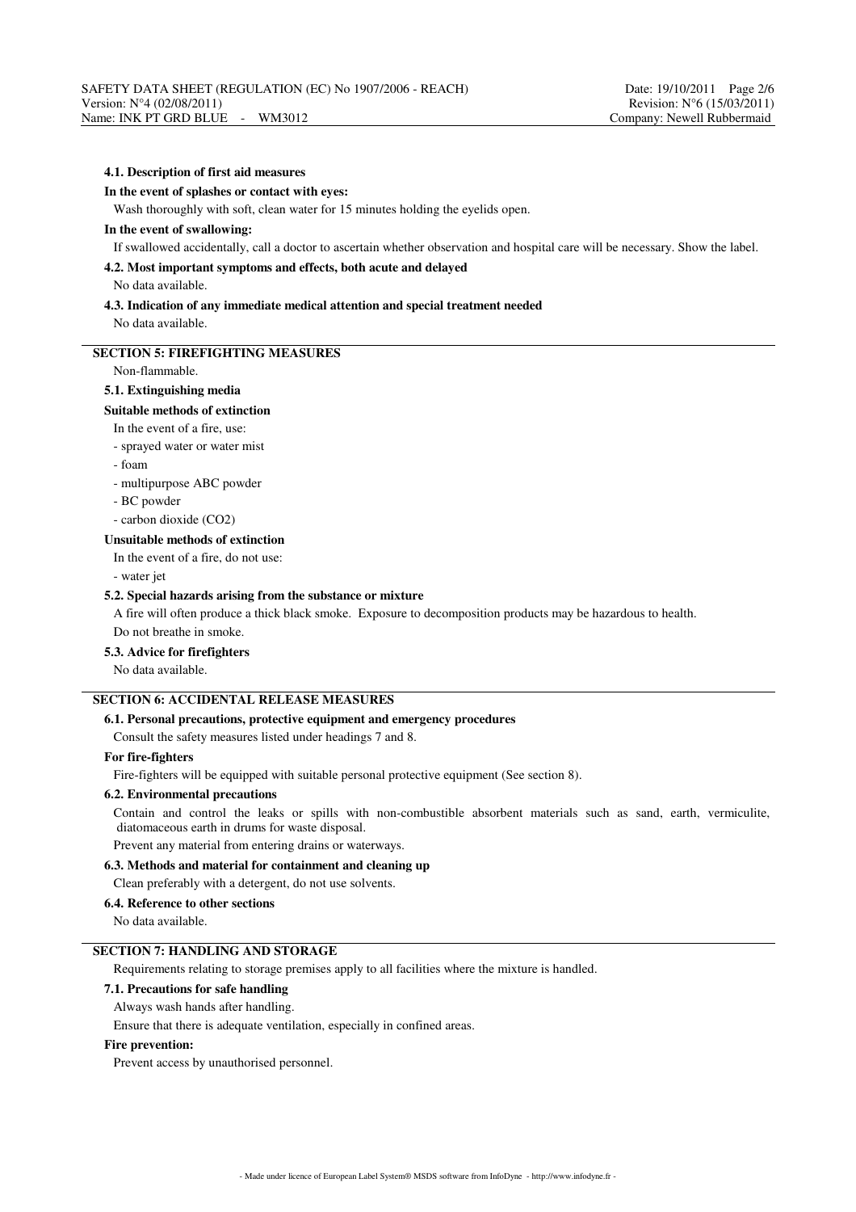#### **4.1. Description of first aid measures**

#### **In the event of splashes or contact with eyes:**

Wash thoroughly with soft, clean water for 15 minutes holding the eyelids open.

#### **In the event of swallowing:**

If swallowed accidentally, call a doctor to ascertain whether observation and hospital care will be necessary. Show the label.

### **4.2. Most important symptoms and effects, both acute and delayed**

No data available.

# **4.3. Indication of any immediate medical attention and special treatment needed**

No data available.

## **SECTION 5: FIREFIGHTING MEASURES**

## Non-flammable.

#### **5.1. Extinguishing media**

#### **Suitable methods of extinction**

In the event of a fire, use:

#### - sprayed water or water mist

- foam

- multipurpose ABC powder

- BC powder

- carbon dioxide (CO2)

#### **Unsuitable methods of extinction**

In the event of a fire, do not use:

- water jet

## **5.2. Special hazards arising from the substance or mixture**

A fire will often produce a thick black smoke. Exposure to decomposition products may be hazardous to health. Do not breathe in smoke.

#### **5.3. Advice for firefighters**

No data available.

# **SECTION 6: ACCIDENTAL RELEASE MEASURES**

### **6.1. Personal precautions, protective equipment and emergency procedures**

Consult the safety measures listed under headings 7 and 8.

## **For fire-fighters**

Fire-fighters will be equipped with suitable personal protective equipment (See section 8).

# **6.2. Environmental precautions**

Contain and control the leaks or spills with non-combustible absorbent materials such as sand, earth, vermiculite, diatomaceous earth in drums for waste disposal.

Prevent any material from entering drains or waterways.

## **6.3. Methods and material for containment and cleaning up**

Clean preferably with a detergent, do not use solvents.

## **6.4. Reference to other sections**

No data available.

## **SECTION 7: HANDLING AND STORAGE**

Requirements relating to storage premises apply to all facilities where the mixture is handled.

### **7.1. Precautions for safe handling**

Always wash hands after handling.

Ensure that there is adequate ventilation, especially in confined areas.

### **Fire prevention:**

Prevent access by unauthorised personnel.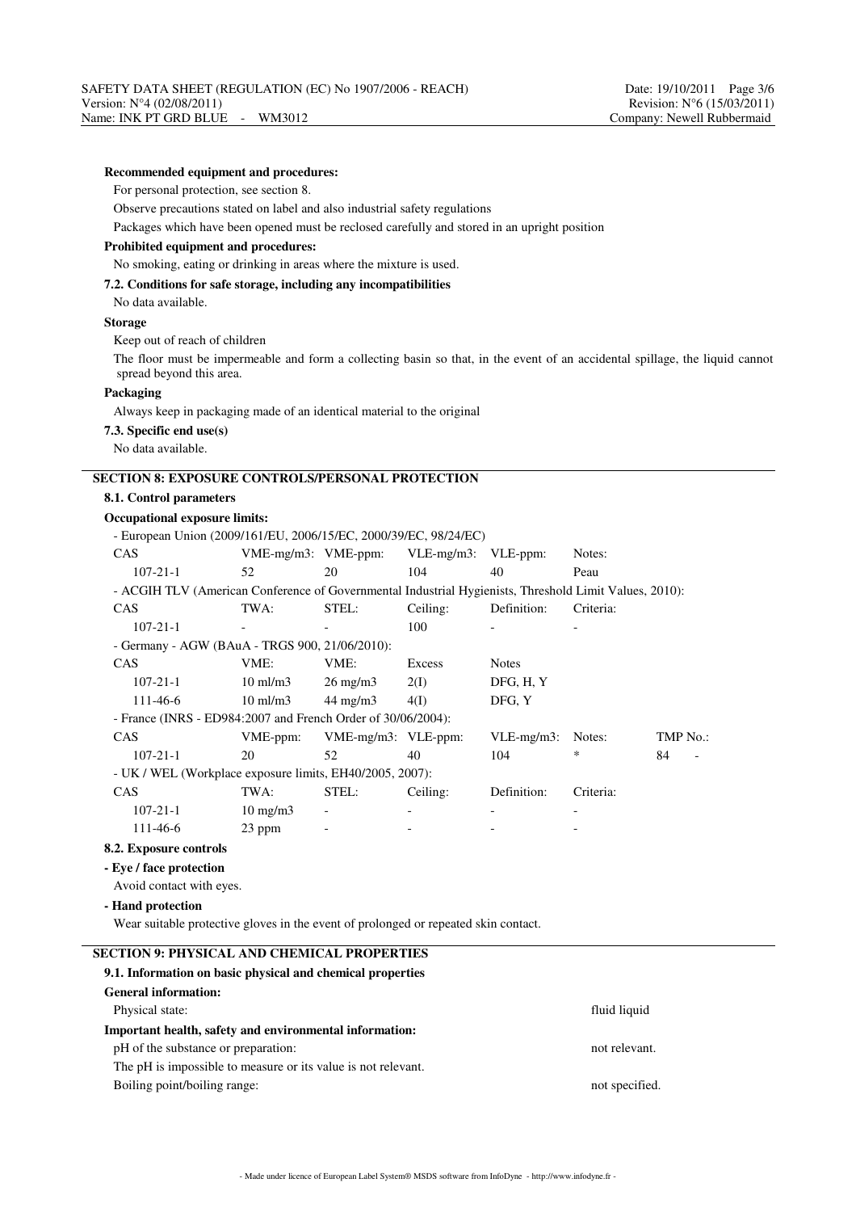#### **Recommended equipment and procedures:**

For personal protection, see section 8.

Observe precautions stated on label and also industrial safety regulations

Packages which have been opened must be reclosed carefully and stored in an upright position

#### **Prohibited equipment and procedures:**

No smoking, eating or drinking in areas where the mixture is used.

### **7.2. Conditions for safe storage, including any incompatibilities**

No data available.

## **Storage**

Keep out of reach of children

The floor must be impermeable and form a collecting basin so that, in the event of an accidental spillage, the liquid cannot spread beyond this area.

#### **Packaging**

Always keep in packaging made of an identical material to the original

#### **7.3. Specific end use(s)**

No data available.

## **SECTION 8: EXPOSURE CONTROLS/PERSONAL PROTECTION**

### **8.1. Control parameters**

**Occupational exposure limits:**

| - European Union $(2009/161/EU, 2006/15/EC, 2000/39/EC, 98/24/EC)$ |  |  |
|--------------------------------------------------------------------|--|--|
|                                                                    |  |  |

| <b>CAS</b>                                                                                             | $VME-mg/m3$ : $VME-ppm$ : |                     | VLE-mg/m3: VLE-ppm: |               | Notes:    |          |
|--------------------------------------------------------------------------------------------------------|---------------------------|---------------------|---------------------|---------------|-----------|----------|
| $107 - 21 - 1$                                                                                         | 52                        | 20                  | 104                 | 40            | Peau      |          |
| - ACGIH TLV (American Conference of Governmental Industrial Hygienists, Threshold Limit Values, 2010): |                           |                     |                     |               |           |          |
| <b>CAS</b>                                                                                             | TWA:                      | STEL:               | Ceiling:            | Definition:   | Criteria: |          |
| $107 - 21 - 1$                                                                                         |                           |                     | 100                 |               |           |          |
| - Germany - AGW (BAuA - TRGS 900, 21/06/2010):                                                         |                           |                     |                     |               |           |          |
| <b>CAS</b>                                                                                             | VME:                      | VME:                | Excess              | <b>Notes</b>  |           |          |
| $107 - 21 - 1$                                                                                         | $10 \text{ ml/m}$ 3       | $26 \text{ mg/m}$   | 2(I)                | DFG, H, Y     |           |          |
| 111-46-6                                                                                               | $10 \text{ ml/m}$ 3       | $44 \text{ mg/m}$   | 4(I)                | DFG, Y        |           |          |
| - France (INRS - ED984:2007 and French Order of $30/06/2004$ ):                                        |                           |                     |                     |               |           |          |
| <b>CAS</b>                                                                                             | VME-ppm:                  | VME-mg/m3: VLE-ppm: |                     | $VLE-mg/m3$ : | Notes:    | TMP No.: |
| $107 - 21 - 1$                                                                                         | 20                        | 52                  | 40                  | 104           | *         | 84       |
| - UK / WEL (Workplace exposure limits, EH40/2005, 2007):                                               |                           |                     |                     |               |           |          |
| CAS                                                                                                    | TWA:                      | STEL:               | Ceiling:            | Definition:   | Criteria: |          |
| $107 - 21 - 1$                                                                                         | $10 \text{ mg/m}$         |                     |                     |               |           |          |
| 111-46-6                                                                                               | 23 ppm                    |                     |                     |               |           |          |
| 8.2. Exposure controls                                                                                 |                           |                     |                     |               |           |          |

**- Eye / face protection**

Avoid contact with eyes.

## **- Hand protection**

Wear suitable protective gloves in the event of prolonged or repeated skin contact.

# **SECTION 9: PHYSICAL AND CHEMICAL PROPERTIES**

# **9.1. Information on basic physical and chemical properties General information:** Physical state: fluid liquid liquid liquid liquid liquid liquid liquid liquid liquid liquid liquid liquid liquid liquid liquid liquid liquid liquid liquid liquid liquid liquid liquid liquid liquid liquid liquid liquid liqu **Important health, safety and environmental information:** pH of the substance or preparation: not relevant. The pH is impossible to measure or its value is not relevant.

Boiling point/boiling range: not specified.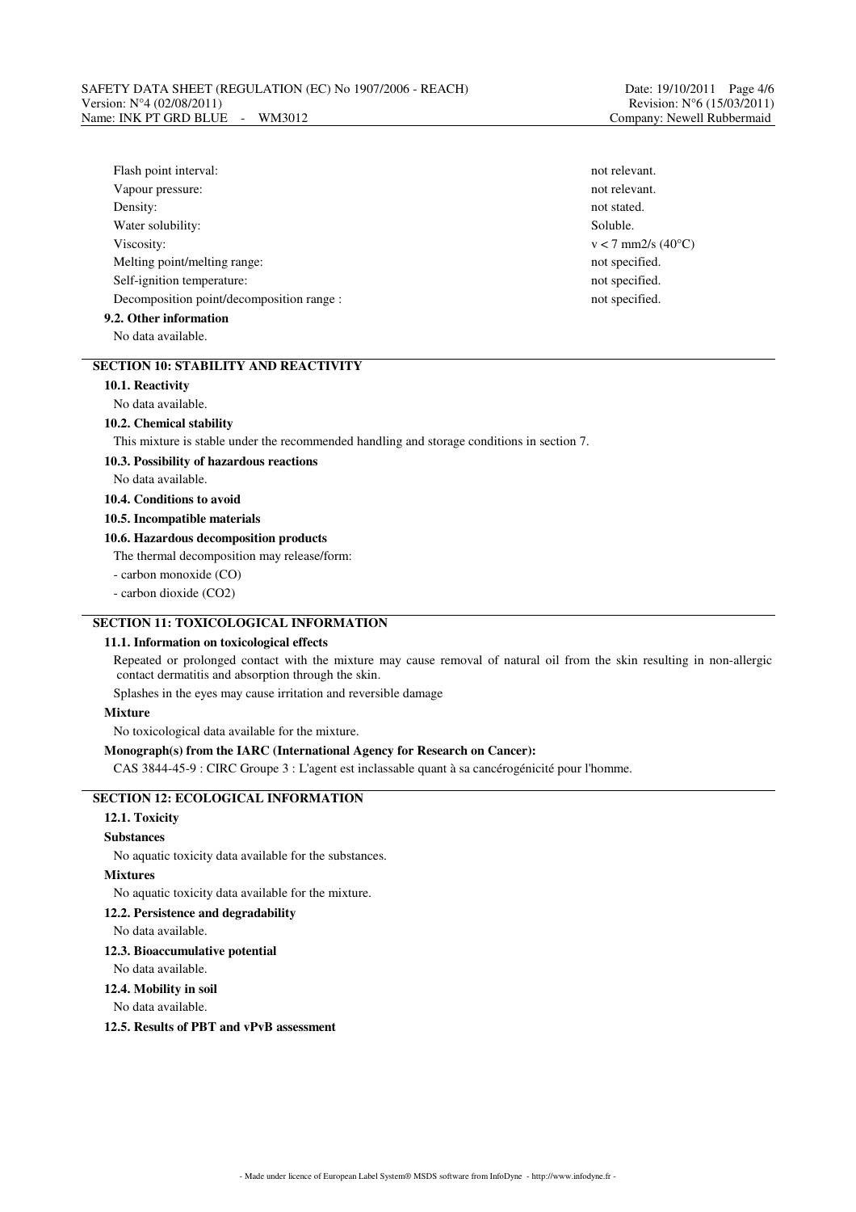| Flash point interval:                     | not relevant. |
|-------------------------------------------|---------------|
| Vapour pressure:                          | not relevant. |
| Density:                                  | not stated.   |
| Water solubility:                         | Soluble.      |
| Viscosity:                                | $v < 7$ mm2/s |
| Melting point/melting range:              | not specified |
| Self-ignition temperature:                | not specified |
| Decomposition point/decomposition range : | not specified |
| 9.2. Other information                    |               |

No data available.

# **SECTION 10: STABILITY AND REACTIVITY**

# **10.1. Reactivity**

No data available.

#### **10.2. Chemical stability**

This mixture is stable under the recommended handling and storage conditions in section 7.

#### **10.3. Possibility of hazardous reactions**

No data available.

# **10.4. Conditions to avoid**

**10.5. Incompatible materials**

### **10.6. Hazardous decomposition products**

The thermal decomposition may release/form:

- carbon monoxide (CO)

- carbon dioxide (CO2)

## **SECTION 11: TOXICOLOGICAL INFORMATION**

#### **11.1. Information on toxicological effects**

Repeated or prolonged contact with the mixture may cause removal of natural oil from the skin resulting in non-allergic contact dermatitis and absorption through the skin.

Splashes in the eyes may cause irritation and reversible damage

#### **Mixture**

No toxicological data available for the mixture.

### **Monograph(s) from the IARC (International Agency for Research on Cancer):**

CAS 3844-45-9 : CIRC Groupe 3 : L'agent est inclassable quant à sa cancérogénicité pour l'homme.

# **SECTION 12: ECOLOGICAL INFORMATION**

# **12.1. Toxicity**

# **Substances**

No aquatic toxicity data available for the substances.

### **Mixtures**

No aquatic toxicity data available for the mixture.

#### **12.2. Persistence and degradability**

No data available.

#### **12.3. Bioaccumulative potential**

No data available.

#### **12.4. Mobility in soil**

#### No data available.

**12.5. Results of PBT and vPvB assessment**

not relevant.  $v < 7$  mm2/s (40 $^{\circ}$ C) not specified. not specified.  $\blacksquare$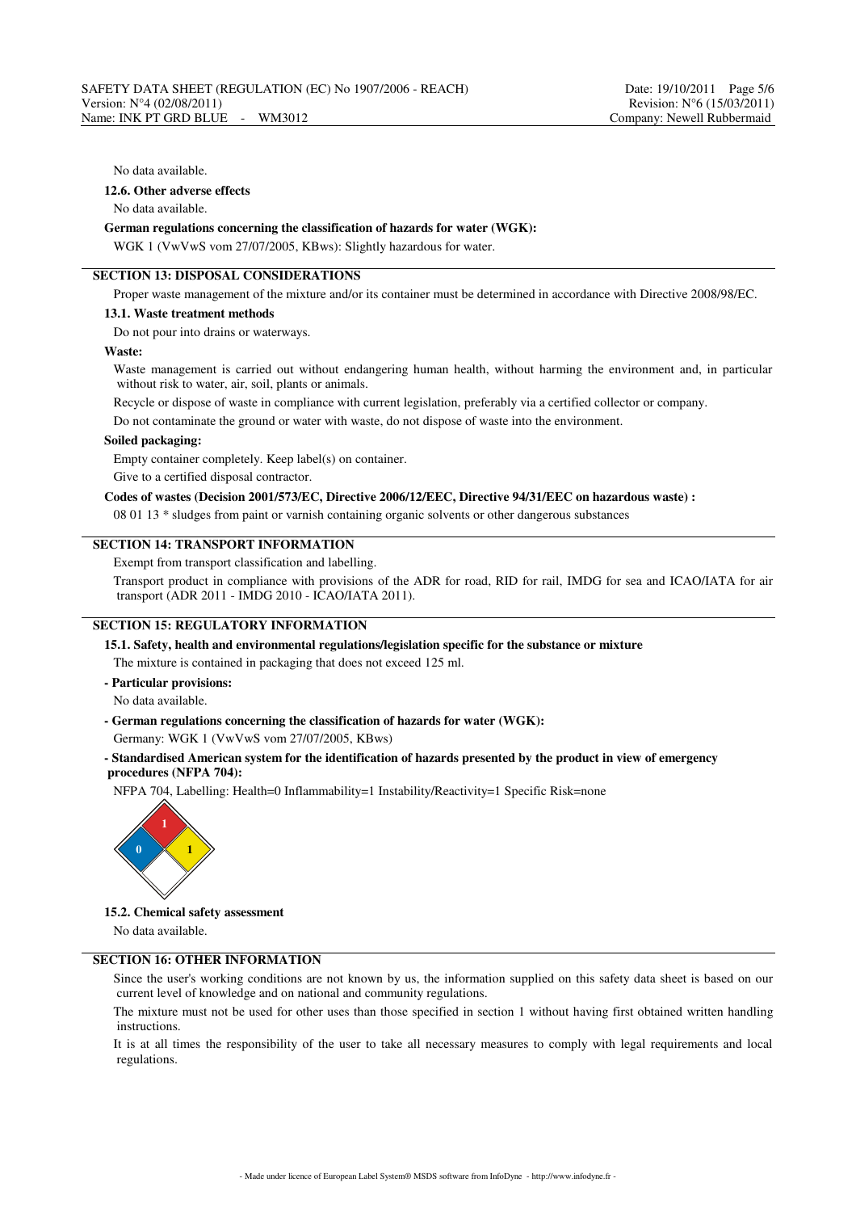#### No data available.

## **12.6. Other adverse effects**

No data available.

# **German regulations concerning the classification of hazards for water (WGK):**

WGK 1 (VwVwS vom 27/07/2005, KBws): Slightly hazardous for water.

# **SECTION 13: DISPOSAL CONSIDERATIONS**

Proper waste management of the mixture and/or its container must be determined in accordance with Directive 2008/98/EC.

#### **13.1. Waste treatment methods**

Do not pour into drains or waterways.

#### **Waste:**

Waste management is carried out without endangering human health, without harming the environment and, in particular without risk to water, air, soil, plants or animals.

Recycle or dispose of waste in compliance with current legislation, preferably via a certified collector or company.

Do not contaminate the ground or water with waste, do not dispose of waste into the environment.

#### **Soiled packaging:**

Empty container completely. Keep label(s) on container.

Give to a certified disposal contractor.

### **Codes of wastes (Decision 2001/573/EC, Directive 2006/12/EEC, Directive 94/31/EEC on hazardous waste) :**

08 01 13 \* sludges from paint or varnish containing organic solvents or other dangerous substances

### **SECTION 14: TRANSPORT INFORMATION**

Exempt from transport classification and labelling.

Transport product in compliance with provisions of the ADR for road, RID for rail, IMDG for sea and ICAO/IATA for air transport (ADR 2011 - IMDG 2010 - ICAO/IATA 2011).

# **SECTION 15: REGULATORY INFORMATION**

**15.1. Safety, health and environmental regulations/legislation specific for the substance or mixture**

The mixture is contained in packaging that does not exceed 125 ml.

- **Particular provisions:**
- No data available.
- **German regulations concerning the classification of hazards for water (WGK):**

Germany: WGK 1 (VwVwS vom 27/07/2005, KBws)

#### **- Standardised American system for the identification of hazards presented by the product in view of emergency procedures (NFPA 704):**

NFPA 704, Labelling: Health=0 Inflammability=1 Instability/Reactivity=1 Specific Risk=none



#### **15.2. Chemical safety assessment**

No data available.

### **SECTION 16: OTHER INFORMATION**

Since the user's working conditions are not known by us, the information supplied on this safety data sheet is based on our current level of knowledge and on national and community regulations.

The mixture must not be used for other uses than those specified in section 1 without having first obtained written handling instructions.

It is at all times the responsibility of the user to take all necessary measures to comply with legal requirements and local regulations.